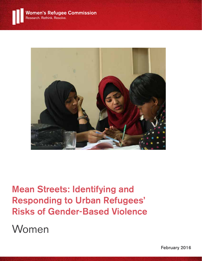

# Mean Streets: Identifying and Responding to Urban Refugees' Risks of Gender-Based Violence

Women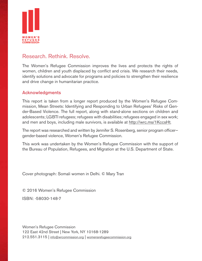

### Research. Rethink. Resolve.

The Women's Refugee Commission improves the lives and protects the rights of women, children and youth displaced by conflict and crisis. We research their needs, identify solutions and advocate for programs and policies to strengthen their resilience and drive change in humanitarian practice.

#### Acknowledgments

This report is taken from a longer report produced by the Women's Refugee Commission, Mean Streets: Identifying and Responding to Urban Refugees' Risks of Gender-Based Violence. The full report, along with stand-alone sections on children and adolescents; LGBTI refugees; refugees with disabilities; refugees engaged in sex work; and men and boys, including male survivors, is available at http://wrc.ms/1KccsHt.

The report was researched and written by Jennifer S. Rosenberg, senior program officer gender-based violence, Women's Refugee Commission.

This work was undertaken by the Women's Refugee Commission with the support of the Bureau of Population, Refugees, and Migration at the U.S. Department of State.

Cover photograph: Somali women in Delhi. © Mary Tran

© 2016 Women's Refugee Commission

ISBN: -58030-148-7

Women's Refugee Commission 122 East 42nd Street | New York, NY 10168-1289 212.551.3115 | info@wrcommission.org | womensrefugeecommission.org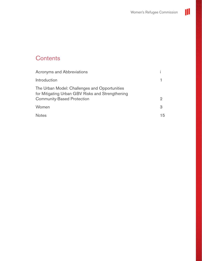

# **Contents**

| <b>Acronyms and Abbreviations</b>                                                                                                      |    |
|----------------------------------------------------------------------------------------------------------------------------------------|----|
| Introduction                                                                                                                           |    |
| The Urban Model: Challenges and Opportunities<br>for Mitigating Urban GBV Risks and Strengthening<br><b>Community-Based Protection</b> | 2  |
| Women                                                                                                                                  | З  |
| <b>Notes</b>                                                                                                                           | 15 |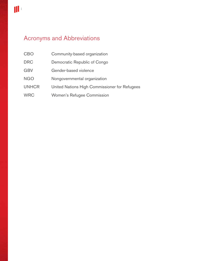# Acronyms and Abbreviations

- CBO Community-based organization
- DRC Democratic Republic of Congo
- GBV Gender-based violence
- NGO Nongovernmental organization
- UNHCR United Nations High Commissioner for Refugees
- WRC Women's Refugee Commission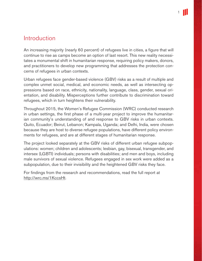### Introduction

An increasing majority (nearly 60 percent) of refugees live in cities, a figure that will continue to rise as camps become an option of last resort. This new reality necessitates a monumental shift in humanitarian response, requiring policy makers, donors, and practitioners to develop new programming that addresses the protection concerns of refugees in urban contexts.

Urban refugees face gender-based violence (GBV) risks as a result of multiple and complex unmet social, medical, and economic needs, as well as intersecting oppressions based on race, ethnicity, nationality, language, class, gender, sexual orientation, and disability. Misperceptions further contribute to discrimination toward refugees, which in turn heightens their vulnerability.

Throughout 2015, the Women's Refugee Commission (WRC) conducted research in urban settings, the first phase of a multi-year project to improve the humanitarian community's understanding of and response to GBV risks in urban contexts. Quito, Ecuador; Beirut, Lebanon; Kampala, Uganda; and Delhi, India, were chosen because they are host to diverse refugee populations, have different policy environments for refugees, and are at different stages of humanitarian response.

The project looked separately at the GBV risks of different urban refugee subpopulations: women; children and adolescents; lesbian, gay, bisexual, transgender, and intersex (LGBTI) individuals; persons with disabilities; and men and boys, including male survivors of sexual violence. Refugees engaged in sex work were added as a subpopulation, due to their invisibility and the heightened GBV risks they face.

For findings from the research and recommendations, read the full report at http://wrc.ms/1KccsHt.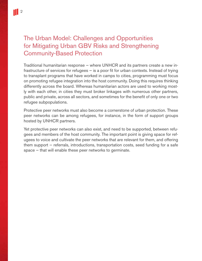## The Urban Model: Challenges and Opportunities for Mitigating Urban GBV Risks and Strengthening Community-Based Protection

Traditional humanitarian response — where UNHCR and its partners create a new infrastructure of services for refugees — is a poor fit for urban contexts. Instead of trying to transplant programs that have worked in camps to cities, programming must focus on promoting refugee integration into the host community. Doing this requires thinking differently across the board. Whereas humanitarian actors are used to working mostly with each other, in cities they must broker linkages with numerous other partners, public and private, across all sectors, and sometimes for the benefit of only one or two refugee subpopulations.

Protective peer networks must also become a cornerstone of urban protection. These peer networks can be among refugees, for instance, in the form of support groups hosted by UNHCR partners.

Yet protective peer networks can also exist, and need to be supported, between refugees and members of the host community. The important point is giving space for refugees to voice and cultivate the peer networks that are relevant for them, and offering them support — referrals, introductions, transportation costs, seed funding for a safe space — that will enable these peer networks to germinate.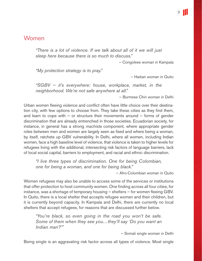### Women

*"There is a lot of violence. If we talk about all of it we will just sleep here because there is so much to discuss."*

— Congolese woman in Kampala

*"My protection strategy is to pray."*

— Haitian woman in Quito

*"SGBV — it's everywhere: house, workplace, market, in the neighborhood. We're not safe anywhere at all."*

— Burmese Chin woman in Delhi

Urban women fleeing violence and conflict often have little choice over their destination city, with few options to choose from. They take these cities as they find them, and learn to cope with  $-$  or structure their movements around  $-$  forms of gender discrimination that are already entrenched in those societies. Ecuadorian society, for instance, in general has a strong *machista* component, where appropriate gender roles between men and women are largely seen as fixed and where being a woman, by itself, ratchets up GBV vulnerability. In Delhi, where all women, including Indian women, face a high baseline level of violence, that violence is taken to higher levels for refugees living with the additional, intersecting risk factors of language barriers, lack of local social capital, barriers to employment, and racial and ethnic discrimination.

*"I live three types of discrimination. One for being Colombian, one for being a woman, and one for being black."*

— Afro-Colombian woman in Quito

Women refugees may also be unable to access some of the services or institutions that offer protection to host community women. One finding across all four cities, for instance, was a shortage of temporary housing — shelters — for women fleeing GBV. In Quito, there is a local shelter that accepts refugee women and their children, but it is currently beyond capacity. In Kampala and Delhi, there are currently no local shelters that accept refugees, for reasons that are discussed further below.

*"You're black, so even going in the road you won't be safe. Some of them when they see you…they'll say 'Do you want an Indian man?'"*

— Somali single woman in Delhi

Being single is an aggravating risk factor across all types of violence. Most single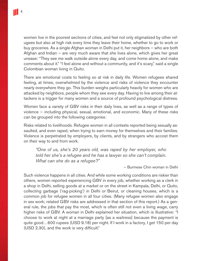women live in the poorest sections of cities, and feel not only stigmatized by other refugees but also at high risk every time they leave their home, whether to go to work or buy groceries. As a single Afghan woman in Delhi put it, her neighbors — who are both Afghan and Indian — are very much aware that she lives alone, which gives her great unease: "They see me walk outside alone every day, and come home alone, and make comments about it." "I feel alone and without a community, and it's scary," said a single Colombian woman living in Quito.

There are emotional costs to feeling so at risk in daily life. Women refugees shared feeling, at times, overwhelmed by the violence and risks of violence they encounter nearly everywhere they go. This burden weighs particularly heavily for women who are attacked by neighbors, people whom they see every day. Having to live among their attackers is a trigger for many women and a source of profound psychological distress.

Women face a variety of GBV risks in their daily lives, as well as a range of types of violence — including physical, sexual, emotional, and economic. Many of these risks can be grouped into the following categories:

Risks related to livelihoods. Refugee women in all contexts reported being sexually assaulted, and even raped, when trying to earn money for themselves and their families. Violence is perpetrated by employers, by clients, and by strangers who accost them on their way to and from work.

*"One of us, she's 20 years old, was raped by her employer, who told her she's a refugee and he has a lawyer so she can't complain. What can she do as a refugee?"*

— Burmese Chin woman in Delhi

Such violence happens in all cities. And while some working conditions are riskier than others, women reported experiencing GBV in every job, whether working as a clerk in a shop in Delhi, selling goods at a market or on the street in Kampala, Delhi, or Quito, collecting garbage ('rag-picking') in Delhi or Beirut, or cleaning houses, which is a common job for refugee women in all four cities. (Many refugee women also engage in sex work; related GBV risks are addressed in that section of this report.) As a general rule, the jobs that pay the most, which is often still not even a living wage, carry higher risks of GBV. A woman in Delhi explained her situation, which is illustrative: "I choose to work at night at a marriage party [as a waitress] because the payment is quite good…600 rupees (USD 9.18) per night. If I work in a factory, I get 150 per day (USD 2.30), and the work is very difficult."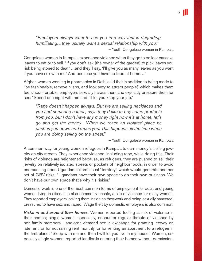*"Employers always want to use you in a way that is degrading, humiliating…they usually want a sexual relationship with you."*

— Youth Congolese woman in Kampala

Congolese women in Kampala experience violence when they go to collect cassava leaves to eat or to sell. "If you don't ask [the owner of the garden] to pick leaves you risk being stoned to death…and they'll say, 'I'll give you as many leaves as you want if you have sex with me.' And because you have no food at home…"

Afghan women working in pharmacies in Delhi said that in addition to being made to "be fashionable, remove hijabs, and look sexy to attract people," which makes them feel uncomfortable, employers sexually harass them and explicitly pressure them for sex: "Spend one night with me and I'll let you keep your job."

*"Rape doesn't happen always. But we are selling necklaces and you find someone comes, says they'd like to buy some products from you, but I don't have any money right now it's at home, let's go and get the money…When we reach an isolated place he pushes you down and rapes you. This happens all the time when you are doing selling on the street."*

— Youth Congolese woman in Kampala

A common way for young women refugees in Kampala to earn money is selling jewelry on city streets. They experience violence, including rape, while doing this. Their risks of violence are heightened because, as refugees, they are pushed to sell their jewelry on relatively isolated streets or pockets of neighborhoods, in order to avoid encroaching upon Ugandan sellers' usual "territory," which would generate another set of GBV risks: "Ugandans have their own space to do their own business. We don't have our own space that's why it's riskier."

Domestic work is one of the most common forms of employment for adult and young women living in cities. It is also commonly unsafe, a site of violence for many women. They reported employers locking them inside as they work and being sexually harassed, pressured to have sex, and raped. Wage theft by domestic employers is also common.

*Risks in and around their homes.* Women reported feeling at risk of violence in their homes; single women, especially, encounter regular threats of violence by non-family members. Landlords demand sex in exchange for granting leeway on late rent, or for not raising rent monthly, or for renting an apartment to a refugee in the first place: "Sleep with me and then I will let you live in my house." Women, especially single women, reported landlords entering their homes without permission. 5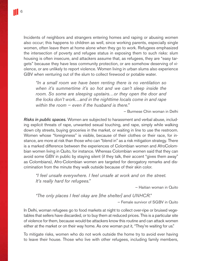Incidents of neighbors and strangers entering homes and raping or abusing women also occur; this happens to children as well, since working parents, especially single women, often leave them at home alone when they go to work. Refugees emphasized the intersection of poverty and refugee status in exposing them to such risks: slum housing is often insecure, and attackers assume that, as refugees, they are "easy targets" because they have less community protection, or are somehow deserving of violence, or are unlikely to report violence. Women living in urban slums also experience GBV when venturing out of the slum to collect firewood or potable water.

*"In a small room we have been renting there is no ventilation so when it's summertime it's so hot and we can't sleep inside the room. So some are sleeping upstairs…or they open the door and the locks don't work…and in the nighttime locals come in and rape within the room — even if the husband is there."*

— Burmese Chin woman in Delhi

*Risks in public spaces.* Women are subjected to harassment and verbal abuse, including explicit threats of rape, unwanted sexual touching, and rape, simply while walking down city streets, buying groceries in the market, or waiting in line to use the restroom. Women whose "foreignness" is visible, because of their clothes or their race, for instance, are more at risk than those who can "blend in" as a risk mitigation strategy. There is a marked difference between the experiences of Colombian women and AfroColombian women living in Quito, for instance. Whereas Colombian women said that they can avoid some GBV in public by staying silent (if they talk, their accent "gives them away" as Colombians), Afro-Colombian women are targeted for derogatory remarks and discrimination from the minute they walk outside because of their skin color.

*"I feel unsafe everywhere. I feel unsafe at work and on the street. It's really hard for refugees."*

— Haitian woman in Quito

*"The only places I feel okay are [the shelter] and UNHCR."*

— Female survivor of SGBV in Quito

In Delhi, woman refugees go to food markets at night to collect over-ripe or bruised vegetables that sellers have discarded, or to buy them at reduced prices. This is a particular site of violence for them, because would-be attackers know this routine and can attack women either at the market or on their way home. As one woman put it, "They're waiting for us."

To mitigate risks, women who do not work outside the home try to avoid ever having to leave their house. Those who live with other refugees, including family members,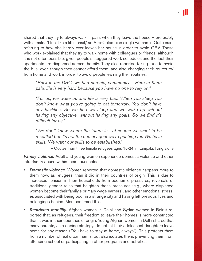shared that they try to always walk in pairs when they leave the house — preferably with a male. "I feel like a little snail," an Afro-Colombian single woman in Quito said, referring to how she hardly ever leaves her house in order to avoid GBV. Those who work explained that they try to walk home with colleagues or friends, although it is not often possible, given people's staggered work schedules and the fact their apartments are dispersed across the city. They also reported taking taxis to avoid the bus, even though they cannot afford them, and also changing their routes to/ from home and work in order to avoid people learning their routines.

*"Back in the DRC, we had parents, community….Here in Kampala, life is very hard because you have no one to rely on."*

*"For us, we wake up and life is very bad. When you sleep you don't know what you're going to eat tomorrow. You don't have any facilities. So we find we sleep and we wake up without having any objective, without having any goals. So we find it's difficult for us."*

*"We don't know where the future is…of course we want to be resettled but it's not the primary goal we're pushing for. We have skills. We want our skills to be established."*

— Quotes from three female refugees ages 16-24 in Kampala, living alone

*Family violence.* Adult and young women experience domestic violence and other intra-family abuse within their households.

- *Domestic violence.* Women reported that domestic violence happens more to them now, as refugees, than it did in their countries of origin. This is due to increased tension in their households from economic pressures, reversals of traditional gender roles that heighten those pressures (e.g., where displaced women become their family's primary wage earners), and other emotional stresses associated with being poor in a strange city and having left previous lives and belongings behind. Men confirmed this.
- *Restricted mobility.* Afghan women in Delhi and Syrian women in Beirut reported that, as refugees, their freedom to leave their homes is more constricted than it was in their countries of origin. Young Afghan women in Delhi shared that many parents, as a coping strategy, do not let their adolescent daughters leave home for any reason ("You have to stay at home, always"). This protects them from a number of real urban harms, but also isolates them, preventing them from attending school or participating in other programs and activities.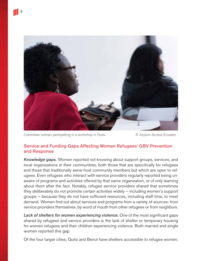

Colombian woman particpating in a workshop in Quito. © Asylum Access Ecuador

#### Service and Funding Gaps Affecting Women Refugees' GBV Prevention and Response

*Knowledge gaps.* Women reported not knowing about support groups, services, and local organizations in their communities, both those that are specifically for refugees and those that traditionally serve host community members but which are open to refugees. Even refugees who interact with service providers regularly reported being unaware of programs and activities offered by that same organization, or of only learning about them after the fact. Notably, refugee service providers shared that sometimes they deliberately do not promote certain activities widely — including women's support groups — because they do not have sufficient resources, including staff time, to meet demand. Women find out about services and programs from a variety of sources: from service providers themselves, by word of mouth from other refugees or from neighbors.

Lack of shelters for women experiencing violence. One of the most significant gaps shared by refugees and service providers is the lack of shelter or temporary housing for women refugees and their children experiencing violence. Both married and single women reported this gap.

Of the four target cities, Quito and Beirut have shelters accessible to refugee women,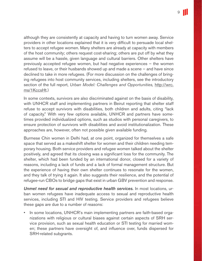although they are consistently at capacity and having to turn women away. Service providers in other locations explained that it is very difficult to persuade local shelters to accept refugee women. Many shelters are already at capacity with members of the host community; others request cost-sharing; others are put off by what they assume will be a hassle, given language and cultural barriers. Other shelters have previously accepted refugee women, but had negative experiences — the women refused to leave, or their husbands showed up and made a scene — and have since declined to take in more refugees. (For more discussion on the challenges of bringing refugees into host community services, including shelters, see the introductory section of the full report, *Urban Model: Challenges and Opportunities,* http://wrc. ms/1KccsHt*.*)

In some contexts, survivors are also discriminated against on the basis of disability, with UNHCR staff and implementing partners in Beirut reporting that shelter staff refuse to accept survivors with disabilities, both children and adults, citing "lack of capacity." With very few options available, UNHCR and partners have sometimes provided individualized options, such as studios with personal caregivers, to ensure protection of survivors with disabilities and avoid institutionalization. These approaches are, however, often not possible given available funding.

Burmese Chin women in Delhi had, at one point, organized for themselves a safe space that served as a makeshift shelter for women and their children needing temporary housing. Both service providers and refugee women talked about the shelter positively, and agreed that its closing was a significant loss for the community. The shelter, which had been funded by an international donor, closed for a variety of reasons, including a lack of funds and a lack of formal management structure. But the experience of having their own shelter continues to resonate for the women, and they talk of trying it again. It also suggests their resilience, and the potential of refugee-run CBOs to bridge gaps that exist in urban GBV prevention and response.

*Unmet need for sexual and reproductive health services.* In most locations, urban women refugees have inadequate access to sexual and reproductive health services, including STI and HIV testing. Service providers and refugees believe these gaps are due to a number of reasons:

• In some locations, UNHCR's main implementing partners are faith-based organizations with religious or cultural biases against certain aspects of SRH service provision, such as sexual health education or STI testing for married women; these partners have oversight of, and influence over, funds dispersed for SRH-related subgrants.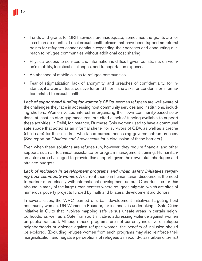- Funds and grants for SRH services are inadequate; sometimes the grants are for less than six months. Local sexual health clinics that have been tapped as referral points for refugees cannot continue expanding their services and conducting outreach to refugee communities without additional cost-sharing.
- Physical access to services and information is difficult given constraints on women's mobility, logistical challenges, and transportation expenses.
- An absence of mobile clinics to refugee communities.
- Fear of stigmatization, lack of anonymity, and breaches of confidentiality, for instance, if a woman tests positive for an STI, or if she asks for condoms or information related to sexual health.

*Lack of support and funding for women's CBOs.* Women refugees are well aware of the challenges they face in accessing host community services and institutions, including shelters. Women voiced interest in organizing their own community-based solutions, at least as stop-gap measures, but cited a lack of funding available to support these activities. In Delhi, for instance, Burmese Chin women used to have a communal safe space that acted as an informal shelter for survivors of GBV, as well as a crèche (child care) for their children who faced barriers accessing government-run crèches. (See report on *Children and Adolescents* for a discussion of these barriers.)

Even when these solutions are refugee-run, however, they require financial and other support, such as technical assistance or program management training. Humanitarian actors are challenged to provide this support, given their own staff shortages and strained budgets.

*Lack of inclusion in development programs and urban safety initiatives targeting host community women.* A current theme in humanitarian discourse is the need to partner more closely with international development actors. Opportunities for this abound in many of the large urban centers where refugees migrate, which are sites of numerous poverty projects funded by multi and bilateral development aid donors.

In several cities, the WRC learned of urban development initiatives targeting host community women. UN Women in Ecuador, for instance, is undertaking a Safe Cities initiative in Quito that involves mapping safe versus unsafe areas in certain neighborhoods, as well as a Safe Transport initiative, addressing violence against women on public transport. Although these programs are not currently inclusive of refugee neighborhoods or violence against refugee women, the benefits of inclusion should be explored. (Excluding refugee women from such programs may also reinforce their marginalization and negative perceptions of refugees as second-class urban citizens.)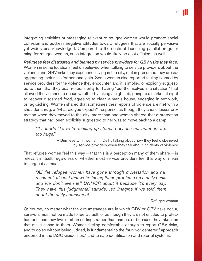Integrating activities or messaging relevant to refugee women would promote social cohesion and address negative attitudes toward refugees that are socially pervasive yet widely unacknowledged. Compared to the costs of launching parallel programming for refugee women, such integration would likely be cost efficient as well.

*Refugees feel distrusted and blamed by service providers for GBV risks they face.*  Women in some locations feel disbelieved when talking to service providers about the violence and GBV risks they experience living in the city, or it is presumed they are exaggerating their risks for personal gain. Some women also reported feeling blamed by service providers for the violence they encounter, and it is implied or explicitly suggested to them that they bear responsibility for having "put themselves in a situation" that allowed the violence to occur, whether by taking a night job, going to a market at night to recover discarded food, agreeing to clean a man's house, engaging in sex work, or rag-picking. Women shared that sometimes their reports of violence are met with a shoulder shrug, a "what did you expect?" response, as though they chose lesser protection when they moved to the city; more than one woman shared that a protection strategy that had been explicitly suggested to her was to move back to a camp.

*"It sounds like we're making up stories because our numbers are too huge."*

> — Burmese Chin woman in Delhi, talking about how they feel disbelieved by service providers when they talk about incidents of violence

That refugee women feel this way  $-$  that this is a perception many of them share  $-$  is relevant in itself, regardless of whether most service providers feel this way or mean to suggest as much.

*"All the refugee women have gone through molestation and harassment. It's just that we're facing these problems on a daily basis and we don't even tell UNHCR about it because it's every day. They have this judgmental attitude…so imagine if we told them about the daily harassment."*

— Refugee woman

Of course, no matter what the circumstances are in which GBV or GBV risks occur, survivors must not be made to feel at fault, or as though they are not entitled to protection because they live in urban settings rather than camps, or because they take jobs that make sense to them. Women feeling comfortable enough to report GBV risks, and to do so without being judged, is fundamental to the "survivor-centered" approach endorsed in the IASC Guidelines,<sup>1</sup> and to safe identification and referral systems.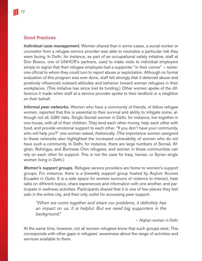#### Good Practices

*Individual case management.* Women shared that in some cases, a social worker or counselor from a refugee service provider was able to neutralize a particular risk they were facing. In Delhi, for instance, as part of an occupational safety initiative, staff at Don Bosco, one of UNHCR's partners, used to make visits to individual employers simply to signal that their refugee employee had a supporter "in their corner" — someone official to whom they could turn to report abuse or exploitation. Although no formal evaluation of this program was ever done, staff felt strongly that it deterred abuse and positively influenced outward attitudes and behavior toward woman refugees in their workplaces. (This initiative has since lost its funding.) Other women spoke of the difference it made when staff at a service provider spoke to their landlord or a neighbor on their behalf.

*Informal peer networks.* Women who have a community of friends, of fellow refugee women, reported that this is essential to their survival and ability to mitigate some, although not all, GBV risks. Single Somali women in Delhi, for instance, live together in one house, with all of their children. They lend each other money, help each other with food, and provide emotional support to each other. "If you don't have your community, who will help you?" one woman asked, rhetorically. (The importance women assigned to these networks also highlighted the increased vulnerability of women who do not have such a community. In Delhi, for instance, there are large numbers of Somali, Afghan, Rohingya, and Burmese Chin refugees, and women in these communities can rely on each other for support. This is not the case for Iraqi, Iranian, or Syrian single women living in Delhi.)

*Women's support groups.* Refugee service providers are home to women's support groups. For instance, there is a biweekly support group hosted by Asylum Access Ecuador in Quito. It is a safe space for women survivors of violence to interact, hear talks on different topics, share experiences and information with one another, and participate in wellness activities. Participants shared that it is one of few places they feel safe in the entire city, and their only outlet for accessing peer support.

*"When we come together and share our problems, it definitely has an impact on us. It is helpful. But we need big supporters in the background."*

— Afghan woman in Delhi

At the same time, however, not all women refugees know that such groups exist. This corresponds with other gaps in refugees' awareness about the range of activities and services available to them.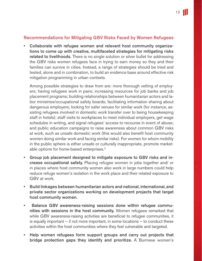#### Recommendations for Mitigating GBV Risks Faced by Women Refugees

• Collaborate with refugee women and relevant host community organizations to come up with creative, multifaceted strategies for mitigating risks related to livelihoods. There is no single solution or silver bullet for addressing the GBV risks women refugees face in trying to earn money so they and their families can survive in cities. Instead, a range of strategies should be tried and tested, alone and in combination, to build an evidence base around effective risk mitigation programming in urban contexts.

Among possible strategies to draw from are: more thorough vetting of employers; having refugees work in pairs; increasing resources for job banks and job placement programs; building relationships between humanitarian actors and labor ministries/occupational safety boards; facilitating information sharing about dangerous employers; looking for safer venues for similar work (for instance, assisting refugees involved in domestic work transfer over to being housekeeping staff in hotels); staff visits to workplaces to meet individual employers, get wage schedules in writing, and signal refugees' access to recourse in event of abuse; and public education campaigns to raise awareness about common GBV risks at work, such as unsafe domestic work (this would also benefit host community women doing similar work and facing similar risks). For women for whom mobility in the public sphere is either unsafe or culturally inappropriate, promote marketable options for home-based enterprises.<sup>2</sup>

- Group job placement designed to mitigate exposure to GBV risks and increase occupational safety. Placing refugee women in jobs together and/ or in places where host community women also work in large numbers could help reduce refuge women's isolation in the work place and their related exposure to GBV at work.
- Build linkages between humanitarian actors and national, international, and private sector organizations working on development projects that target host community women.
- Balance GBV awareness-raising sessions done within refugee communities with sessions in the host community. Women refugees remarked that while GBV awareness-raising activities are beneficial to refugee communities, it is equally important  $-$  if not more important, in some locations  $-$  to conduct these activities within the host communities where they feel vulnerable and targeted.
- Help women refugees form support groups and carry out projects that bridge protection gaps they identify and prioritize. A Burmese women's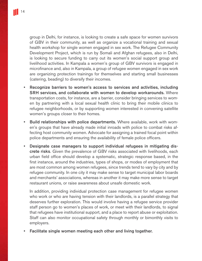group in Delhi, for instance, is looking to create a safe space for women survivors of GBV in their community, as well as organize a vocational training and sexual health workshop for single women engaged in sex work. The Refugee Community Development Project, which is run by Somali and Afghan refugees, also in Delhi, is looking to secure funding to carry out its women's social support group and livelihood activities. In Kampala a women's group of GBV survivors is engaged in microfinance and, also in Kampala, a group of refugee women engaged in sex work are organizing protection trainings for themselves and starting small businesses (catering, beading) to diversify their incomes.

- Recognize barriers to women's access to services and activities, including SRH services, and collaborate with women to develop workarounds. Where transportation costs, for instance, are a barrier, consider bringing services to women by partnering with a local sexual health clinic to bring their mobile clinics to refugee neighborhoods, or by supporting women interested in convening satellite women's groups closer to their homes.
- Build relationships with police departments. Where available, work with women's groups that have already made initial inroads with police to combat risks affecting host community women. Advocate for assigning a trained focal point within police departments and ensuring the availability of female police officers.
- Designate case managers to support individual refugees in mitigating discrete risks. Given the prevalence of GBV risks associated with livelihoods, each urban field office should develop a systematic, strategic response based, in the first instance, around the industries, types of shops, or modes of employment that are most common among women refugees, since trends tend to vary by city and by refugee community. In one city it may make sense to target municipal labor boards and merchants' associations, whereas in another it may make more sense to target restaurant unions, or raise awareness about unsafe domestic work.

In addition, providing individual protection case management for refugee women who work or who are having tension with their landlords, is a parallel strategy that deserves further exploration. This would involve having a refugee service provider staff person go to women's places of work, or meet with their landlords, to signal that refugees have institutional support, and a place to report abuse or exploitation. Staff can also monitor occupational safety through monthly or bimonthly visits to employers.

• Facilitate single women meeting each other and living together.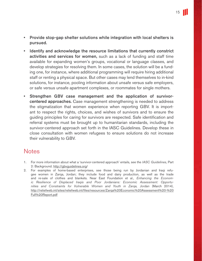- Provide stop-gap shelter solutions while integration with local shelters is pursued.
- Identify and acknowledge the resource limitations that currently constrict activities and services for women, such as a lack of funding and staff time available for expanding women's groups, vocational or language classes, and develop strategies for resolving them. In some cases, the solution will be a funding one, for instance, where additional programming will require hiring additional staff or renting a physical space. But other cases may lend themselves to in-kind solutions, for instance, pooling information about unsafe versus safe employers, or safe versus unsafe apartment complexes, or roommates for single mothers.
- Strengthen GBV case management and the application of survivorcentered approaches. Case management strengthening is needed to address the stigmatization that women experience when reporting GBV. It is important to respect the rights, choices, and wishes of survivors and to ensure the guiding principles for caring for survivors are respected. Safe identification and referral systems must be brought up to humanitarian standards, including the survivor-centered approach set forth in the IASC Guidelines. Develop these in close consultation with women refugees to ensure solutions do not increase their vulnerability to GBV.

### **Notes**

- 1. For more information about what a 'survivor-centered approach' entails, see the *IASC Guidelines*, Part 2: Background. http://gbvguidelines.org/
- 2. For examples of home-based enterprises, see those being run by Jordanian and Iraqi refugee women in Zarqa, Jordan; they include food and dairy production, as well as the trade and re-sale of clothes and blankets. Near East Foundation et al., *Enhancing the Economic Resilience of Displaced Iraqis and Poor Jordanians: Economic Assessment: Opportunities and Constraints for Vulnerable Women and Youth in Zarqa, Jordan* (March 2014), http://reliefweb.int/sites/reliefweb.int/files/resources/Zarqa%20Economic%20Assessment%20-%20 Full%20Report.pdf